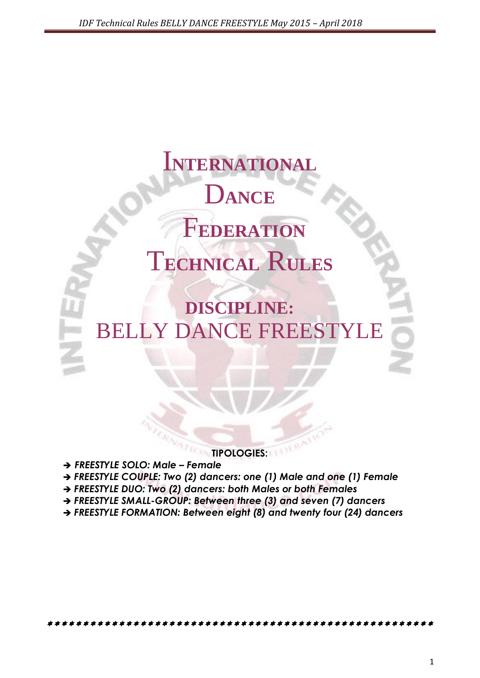# I**NTERNATIONAL** D**ANCE** F**EDERATION** T**ECHNICAL** R**ULES**

**DISCIPLINE:** BELLY DANCE FREESTYLE

**TIPOLOGIES:**

*FREESTYLE SOLO: Male – Female*

- *FREESTYLE COUPLE: Two (2) dancers: one (1) Male and one (1) Female*
- *FREESTYLE DUO: Two (2) dancers: both Males or both Females*
- *FREESTYLE SMALL-GROUP: Between three (3) and seven (7) dancers*
- *FREESTYLE FORMATION: Between eight (8) and twenty four (24) dancers*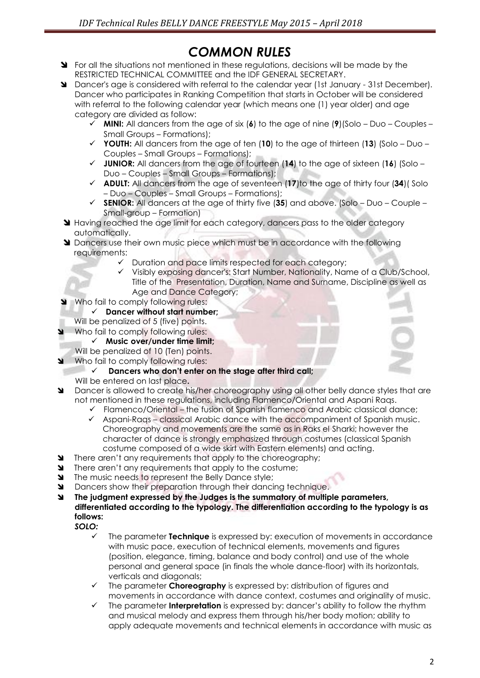# *COMMON RULES*

- State regulations in the situations not mentioned in these requiditions, decisions will be made by the RESTRICTED TECHNICAL COMMITTEE and the IDF GENERAL SECRETARY.
- Dancer's age is considered with referral to the calendar year (1st January 31st December). Dancer who participates in Ranking Competition that starts in October will be considered with referral to the following calendar year (which means one (1) year older) and age category are divided as follow:
	- **MINI:** All dancers from the age of six (**6**) to the age of nine (**9**)(Solo Duo Couples Small Groups – Formations);
	- **YOUTH:** All dancers from the age of ten (**10**) to the age of thirteen (**13**) (Solo Duo Couples – Small Groups – Formations);
	- **JUNIOR:** All dancers from the age of fourteen (**14**) to the age of sixteen (**16**) (Solo Duo – Couples – Small Groups – Formations);
	- **ADULT:** All dancers from the age of seventeen (**17**)to the age of thirty four (**34**)( Solo – Duo – Couples – Small Groups – Formations);
	- **SENIOR:** All dancers at the age of thirty five (**35**) and above. (Solo Duo Couple Small-group – Formation)
- **Having reached the age limit for each category, dancers pass to the older category** automatically.
- **M** Dancers use their own music piece which must be in accordance with the following requirements:
	- $\checkmark$  Duration and pace limits respected for each category;
	- Visibly exposing dancer's: Start Number, Nationality, Name of a Club/School, Title of the Presentation, Duration, Name and Surname, Discipline as well as Age and Dance Category;
- Who fail to comply following rules:
	- **Dancer without start number;**
	- Will be penalized of 5 (five) points.
- Who fail to comply following rules:
	- **Music over/under time limit;**
- Will be penalized of 10 (Ten) points.
- Who fail to comply following rules:
	- **Dancers who don't enter on the stage after third call;**
	- Will be entered on last place**.**
- Dancer is allowed to create his/her choreography using all other belly dance styles that are not mentioned in these regulations, including Flamenco/Oriental and Aspani Raqs.
	- $\checkmark$  Flamenco/Oriental the fusion of Spanish flamenco and Arabic classical dance;
	- $\checkmark$  Aspani-Raqs classical Arabic dance with the accompaniment of Spanish music. Choreography and movements are the same as in Raks el Sharki; however the character of dance is strongly emphasized through costumes (classical Spanish costume composed of a wide skirt with Eastern elements) and acting.
- There aren't any requirements that apply to the choreography;
- **SEPTE:** There aren't any requirements that apply to the costume;
- The music needs to represent the Belly Dance style;
- Dancers show their preparation through their dancing technique.
- **The judgment expressed by the Judges is the summatory of multiple parameters, differentiated according to the typology. The differentiation according to the typology is as follows:** *SOLO:*
	- - The parameter **Technique** is expressed by: execution of movements in accordance with music pace, execution of technical elements, movements and figures (position, elegance, timing, balance and body control) and use of the whole personal and general space (in finals the whole dance-floor) with its horizontals, verticals and diagonals;
		- The parameter **Choreography** is expressed by: distribution of figures and movements in accordance with dance context, costumes and originality of music.
		- The parameter **Interpretation** is expressed by: dancer's ability to follow the rhythm and musical melody and express them through his/her body motion; ability to apply adequate movements and technical elements in accordance with music as

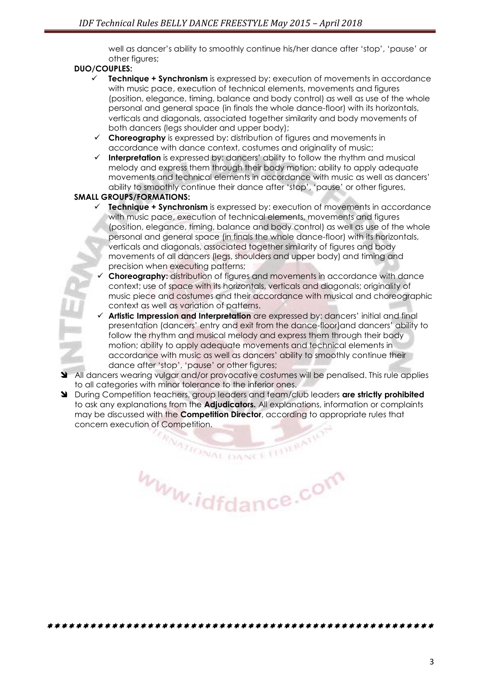well as dancer's ability to smoothly continue his/her dance after 'stop', 'pause' or other figures;

#### **DUO/COUPLES:**

- **Technique + Synchronism** is expressed by: execution of movements in accordance with music pace, execution of technical elements, movements and figures (position, elegance, timing, balance and body control) as well as use of the whole personal and general space (in finals the whole dance-floor) with its horizontals, verticals and diagonals, associated together similarity and body movements of both dancers (legs shoulder and upper body);
- **Choreography** is expressed by: distribution of figures and movements in accordance with dance context, costumes and originality of music;
- **Interpretation** is expressed by: dancers' ability to follow the rhythm and musical melody and express them through their body motion; ability to apply adequate movements and technical elements in accordance with music as well as dancers' ability to smoothly continue their dance after 'stop', 'pause' or other figures,

#### **SMALL GROUPS/FORMATIONS:**

- **Technique + Synchronism** is expressed by: execution of movements in accordance with music pace, execution of technical elements, movements and figures (position, elegance, timing, balance and body control) as well as use of the whole personal and general space (in finals the whole dance-floor) with its horizontals, verticals and diagonals, associated together similarity of figures and body movements of all dancers (legs, shoulders and upper body) and timing and precision when executing patterns;
- **Choreography:** distribution of figures and movements in accordance with dance context; use of space with its horizontals, verticals and diagonals; originality of music piece and costumes and their accordance with musical and choreographic context as well as variation of patterns.
- **Artistic Impression and Interpretation** are expressed by: dancers' initial and final presentation (dancers' entry and exit from the dance-floor)and dancers' ability to follow the rhythm and musical melody and express them through their body motion; ability to apply adequate movements and technical elements in accordance with music as well as dancers' ability to smoothly continue their dance after 'stop', 'pause' or other figures;
- All dancers wearing vulgar and/or provocative costumes will be penalised. This rule applies to all categories with minor tolerance to the inferior ones.
- During Competition teachers, group leaders and team/club leaders **are strictly prohibited**  to ask any explanations from the **Adjudicators.** All explanations, information or complaints may be discussed with the **Competition Director**, according to appropriate rules that concern execution of Competition.<br>
The concern execution of Competition.

www.idfdance.com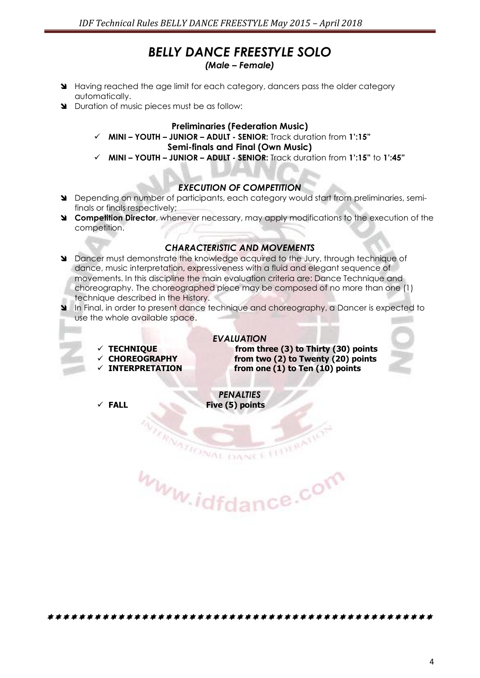# *BELLY DANCE FREESTYLE SOLO*

#### *(Male – Female)*

- Having reached the age limit for each category, dancers pass the older category automatically.
- Duration of music pieces must be as follow:

#### **Preliminaries (Federation Music)**

- **MINI – YOUTH – JUNIOR – ADULT - SENIOR:** Track duration from **1':15" Semi-finals and Final (Own Music)**
- **MINI – YOUTH – JUNIOR – ADULT - SENIOR:** Track duration from **1':15"** to **1':45"**

#### *EXECUTION OF COMPETITION*

- Depending on number of participants, each category would start from preliminaries, semifinals or finals respectively;
- **Competition Director**, whenever necessary, may apply modifications to the execution of the competition.

#### *CHARACTERISTIC AND MOVEMENTS*

- Dancer must demonstrate the knowledge acquired to the Jury, through technique of dance, music interpretation, expressiveness with a fluid and elegant sequence of movements. In this discipline the main evaluation criteria are: Dance Technique and choreography. The choreographed piece may be composed of no more than one (1) technique described in the History.
- In Final, in order to present dance technique and choreography, a Dancer is expected to use the whole available space.
	-
	-
	-

*EVALUATION*  **TECHNIQUE from three (3) to Thirty (30) points CHOREOGRAPHY from two (2) to Twenty (20) points INTERPRETATION from one (1) to Ten (10) points**



*PENALTIES*  **FALL Five (5) points**

**ATIONAL DANCE** www.idfdance.com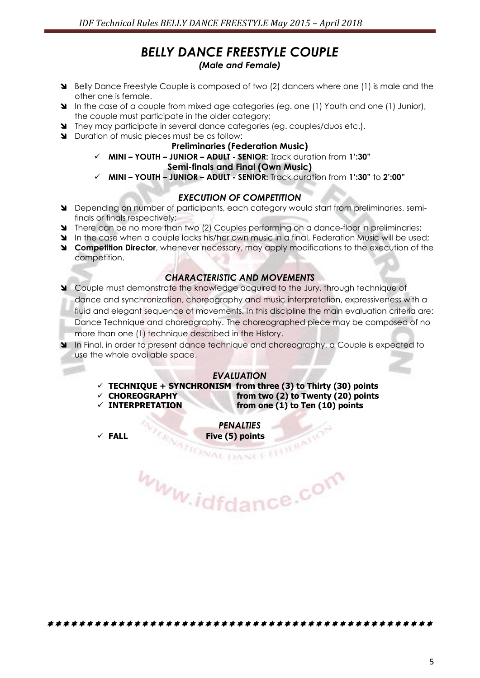# *BELLY DANCE FREESTYLE COUPLE (Male and Female)*

- Belly Dance Freestyle Couple is composed of two (2) dancers where one (1) is male and the other one is female.
- In the case of a couple from mixed age categories (eg. one (1) Youth and one (1) Junior), the couple must participate in the older category;
- They may participate in several dance categories (eg. couples/duos etc.).
- Duration of music pieces must be as follow:

#### **Preliminaries (Federation Music)**

**MINI – YOUTH – JUNIOR – ADULT - SENIOR:** Track duration from **1':30"**

#### **Semi-finals and Final (Own Music)**

**MINI – YOUTH – JUNIOR – ADULT - SENIOR:** Track duration from **1':30"** to **2':00"**

#### *EXECUTION OF COMPETITION*

- Depending on number of participants, each category would start from preliminaries, semifinals or finals respectively;
- **There can be no more than two (2) Couples performing on a dance-floor in preliminaries;**
- In the case when a couple lacks his/her own music in a final, Federation Music will be used:
- **Competition Director**, whenever necessary, may apply modifications to the execution of the competition.

## *CHARACTERISTIC AND MOVEMENTS*

 Couple must demonstrate the knowledge acquired to the Jury, through technique of dance and synchronization, choreography and music interpretation, expressiveness with a fluid and elegant sequence of movements. In this discipline the main evaluation criteria are: Dance Technique and choreography. The choreographed piece may be composed of no more than one (1) technique described in the History.

In Final, in order to present dance technique and choreography, a Couple is expected to use the whole available space.

#### *EVALUATION*

- **TECHNIQUE + SYNCHRONISM from three (3) to Thirty (30) points**
- 
- **CHOREOGRAPHY from two (2) to Twenty (20) points INTERPRETATION from one (1) to Ten (10) points**

*PENALTIES* 

**FALL** Five (5) points www.idfdance.com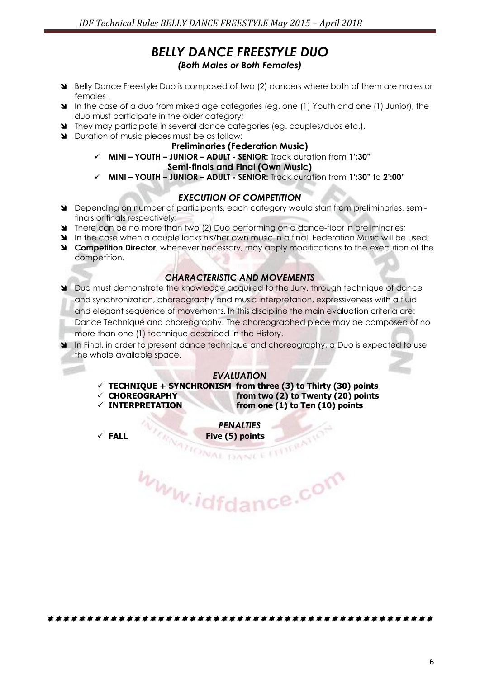# *BELLY DANCE FREESTYLE DUO (Both Males or Both Females)*

- Belly Dance Freestyle Duo is composed of two (2) dancers where both of them are males or females .
- In the case of a duo from mixed age categories (eg. one (1) Youth and one (1) Junior), the duo must participate in the older category;
- They may participate in several dance categories (eg. couples/duos etc.).
- Duration of music pieces must be as follow:

#### **Preliminaries (Federation Music)**

**MINI – YOUTH – JUNIOR – ADULT - SENIOR:** Track duration from **1':30"**

#### **Semi-finals and Final (Own Music)**

**MINI – YOUTH – JUNIOR – ADULT - SENIOR:** Track duration from **1':30"** to **2':00"**

#### *EXECUTION OF COMPETITION*

- Depending on number of participants, each category would start from preliminaries, semifinals or finals respectively;
- There can be no more than two (2) Duo performing on a dance-floor in preliminaries;
- In the case when a couple lacks his/her own music in a final, Federation Music will be used:
- **Competition Director**, whenever necessary, may apply modifications to the execution of the competition.

# *CHARACTERISTIC AND MOVEMENTS*

 Duo must demonstrate the knowledge acquired to the Jury, through technique of dance and synchronization, choreography and music interpretation, expressiveness with a fluid and elegant sequence of movements. In this discipline the main evaluation criteria are: Dance Technique and choreography. The choreographed piece may be composed of no more than one (1) technique described in the History.

In Final, in order to present dance technique and choreography, a Duo is expected to use the whole available space.

#### *EVALUATION*

- **TECHNIQUE + SYNCHRONISM from three (3) to Thirty (30) points**
- **CHOREOGRAPHY from two (2) to Twenty (20) points**
- **INTERPRETATION from one (1) to Ten (10) points**

*PENALTIES*  **FALL** Five (5) points<br> **Five (5) points** 

www.idfdance.com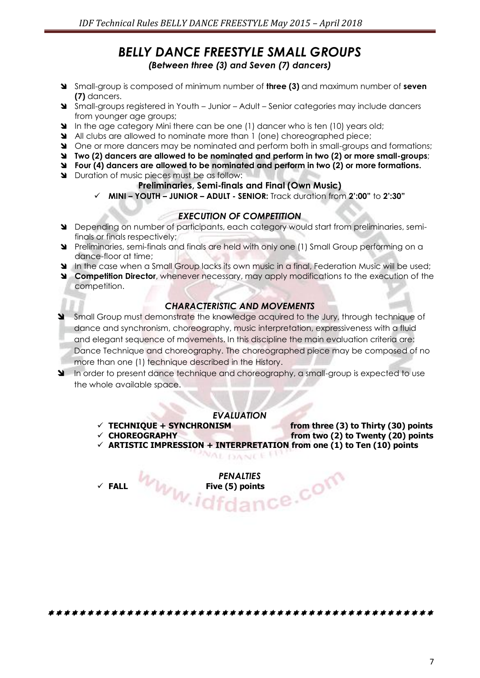# *BELLY DANCE FREESTYLE SMALL GROUPS (Between three (3) and Seven (7) dancers)*

- Small-group is composed of minimum number of **three (3)** and maximum number of **seven (7)** dancers.
- Small-groups registered in Youth Junior Adult Senior categories may include dancers from younger age groups;
- In the age category Mini there can be one (1) dancer who is ten (10) years old;
- All clubs are allowed to nominate more than 1 (one) choreographed piece;
- One or more dancers may be nominated and perform both in small-groups and formations;
- **Two (2) dancers are allowed to be nominated and perform in two (2) or more small-groups**;
- **Four (4) dancers are allowed to be nominated and perform in two (2) or more formations.**
- **N** Duration of music pieces must be as follow:

# **Preliminaries, Semi-finals and Final (Own Music)**

**MINI – YOUTH – JUNIOR – ADULT - SENIOR:** Track duration from **2':00"** to **2':30"**

# *EXECUTION OF COMPETITION*

- Depending on number of participants, each category would start from preliminaries, semifinals or finals respectively;
- Preliminaries, semi-finals and finals are held with only one (1) Small Group performing on a dance-floor at time;
- In the case when a Small Group lacks its own music in a final, Federation Music will be used;
- **Competition Director**, whenever necessary, may apply modifications to the execution of the competition.

# *CHARACTERISTIC AND MOVEMENTS*

- Small Group must demonstrate the knowledge acquired to the Jury, through technique of dance and synchronism, choreography, music interpretation, expressiveness with a fluid and elegant sequence of movements. In this discipline the main evaluation criteria are: Dance Technique and choreography. The choreographed piece may be composed of no more than one (1) technique described in the History.
- In order to present dance technique and choreography, a small-group is expected to use the whole available space.

## *EVALUATION*

*NAL DANCE IT* 

 $\checkmark$  TECHNIQUE + SYNCHRONISM from three (3) to Thirty (30) points

- 
- **CHOREOGRAPHY from two (2) to Twenty (20) points ARTISTIC IMPRESSION + INTERPRETATION from one (1) to Ten (10) points**

*PENALTIES*  **FALL Five (5) points**